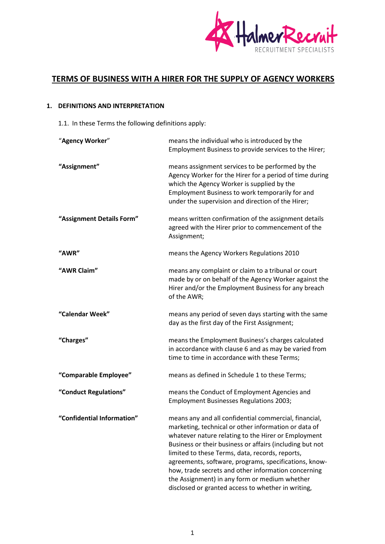

# **TERMS OF BUSINESS WITH A HIRER FOR THE SUPPLY OF AGENCY WORKERS**

## **1. DEFINITIONS AND INTERPRETATION**

<span id="page-0-0"></span>1.1. In these Terms the following definitions apply:

| "Agency Worker"            | means the individual who is introduced by the<br>Employment Business to provide services to the Hirer;                                                                                                                                                                                                                                                                                                                                                                                                     |
|----------------------------|------------------------------------------------------------------------------------------------------------------------------------------------------------------------------------------------------------------------------------------------------------------------------------------------------------------------------------------------------------------------------------------------------------------------------------------------------------------------------------------------------------|
| "Assignment"               | means assignment services to be performed by the<br>Agency Worker for the Hirer for a period of time during<br>which the Agency Worker is supplied by the<br>Employment Business to work temporarily for and<br>under the supervision and direction of the Hirer;                                                                                                                                                                                                                                          |
| "Assignment Details Form"  | means written confirmation of the assignment details<br>agreed with the Hirer prior to commencement of the<br>Assignment;                                                                                                                                                                                                                                                                                                                                                                                  |
| "AWR"                      | means the Agency Workers Regulations 2010                                                                                                                                                                                                                                                                                                                                                                                                                                                                  |
| "AWR Claim"                | means any complaint or claim to a tribunal or court<br>made by or on behalf of the Agency Worker against the<br>Hirer and/or the Employment Business for any breach<br>of the AWR;                                                                                                                                                                                                                                                                                                                         |
| "Calendar Week"            | means any period of seven days starting with the same<br>day as the first day of the First Assignment;                                                                                                                                                                                                                                                                                                                                                                                                     |
| "Charges"                  | means the Employment Business's charges calculated<br>in accordance with clause 6 and as may be varied from<br>time to time in accordance with these Terms;                                                                                                                                                                                                                                                                                                                                                |
| "Comparable Employee"      | means as defined in Schedule 1 to these Terms;                                                                                                                                                                                                                                                                                                                                                                                                                                                             |
| "Conduct Regulations"      | means the Conduct of Employment Agencies and<br><b>Employment Businesses Regulations 2003;</b>                                                                                                                                                                                                                                                                                                                                                                                                             |
| "Confidential Information" | means any and all confidential commercial, financial,<br>marketing, technical or other information or data of<br>whatever nature relating to the Hirer or Employment<br>Business or their business or affairs (including but not<br>limited to these Terms, data, records, reports,<br>agreements, software, programs, specifications, know-<br>how, trade secrets and other information concerning<br>the Assignment) in any form or medium whether<br>disclosed or granted access to whether in writing, |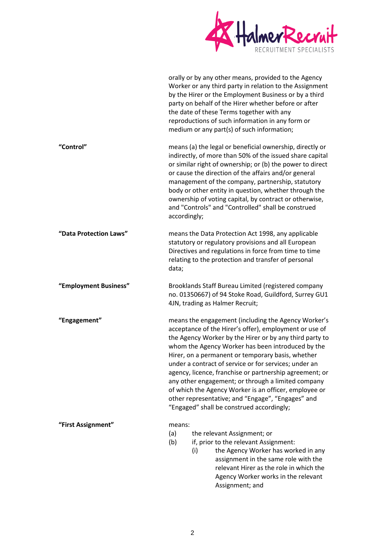

|                        | orally or by any other means, provided to the Agency<br>Worker or any third party in relation to the Assignment<br>by the Hirer or the Employment Business or by a third<br>party on behalf of the Hirer whether before or after<br>the date of these Terms together with any<br>reproductions of such information in any form or<br>medium or any part(s) of such information;                                                                                                                                                                                                                                         |
|------------------------|-------------------------------------------------------------------------------------------------------------------------------------------------------------------------------------------------------------------------------------------------------------------------------------------------------------------------------------------------------------------------------------------------------------------------------------------------------------------------------------------------------------------------------------------------------------------------------------------------------------------------|
| "Control"              | means (a) the legal or beneficial ownership, directly or<br>indirectly, of more than 50% of the issued share capital<br>or similar right of ownership; or (b) the power to direct<br>or cause the direction of the affairs and/or general<br>management of the company, partnership, statutory<br>body or other entity in question, whether through the<br>ownership of voting capital, by contract or otherwise,<br>and "Controls" and "Controlled" shall be construed<br>accordingly;                                                                                                                                 |
| "Data Protection Laws" | means the Data Protection Act 1998, any applicable<br>statutory or regulatory provisions and all European<br>Directives and regulations in force from time to time<br>relating to the protection and transfer of personal<br>data;                                                                                                                                                                                                                                                                                                                                                                                      |
| "Employment Business"  | Brooklands Staff Bureau Limited (registered company<br>no. 01350667) of 94 Stoke Road, Guildford, Surrey GU1<br>4JN, trading as Halmer Recruit;                                                                                                                                                                                                                                                                                                                                                                                                                                                                         |
| "Engagement"           | means the engagement (including the Agency Worker's<br>acceptance of the Hirer's offer), employment or use of<br>the Agency Worker by the Hirer or by any third party to<br>whom the Agency Worker has been introduced by the<br>Hirer, on a permanent or temporary basis, whether<br>under a contract of service or for services; under an<br>agency, licence, franchise or partnership agreement; or<br>any other engagement; or through a limited company<br>of which the Agency Worker is an officer, employee or<br>other representative; and "Engage", "Engages" and<br>"Engaged" shall be construed accordingly; |
| "First Assignment"     | means:<br>(a)<br>the relevant Assignment; or<br>(b)<br>if, prior to the relevant Assignment:<br>(i)<br>the Agency Worker has worked in any<br>assignment in the same role with the<br>relevant Hirer as the role in which the<br>Agency Worker works in the relevant<br>Assignment; and                                                                                                                                                                                                                                                                                                                                 |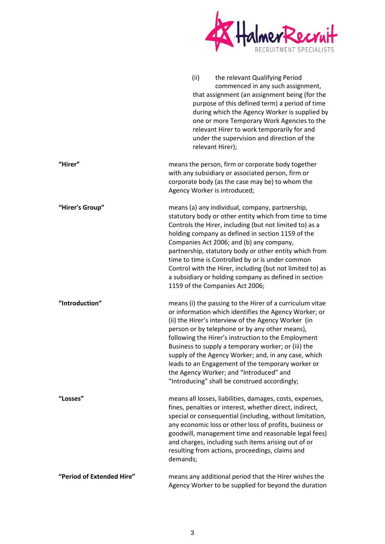

(ii) the relevant Qualifying Period

|                           | commenced in any such assignment,<br>that assignment (an assignment being (for the<br>purpose of this defined term) a period of time<br>during which the Agency Worker is supplied by<br>one or more Temporary Work Agencies to the<br>relevant Hirer to work temporarily for and<br>under the supervision and direction of the<br>relevant Hirer);                                                                                                                                                                                               |
|---------------------------|---------------------------------------------------------------------------------------------------------------------------------------------------------------------------------------------------------------------------------------------------------------------------------------------------------------------------------------------------------------------------------------------------------------------------------------------------------------------------------------------------------------------------------------------------|
| "Hirer"                   | means the person, firm or corporate body together<br>with any subsidiary or associated person, firm or<br>corporate body (as the case may be) to whom the<br>Agency Worker is introduced;                                                                                                                                                                                                                                                                                                                                                         |
| "Hirer's Group"           | means (a) any individual, company, partnership,<br>statutory body or other entity which from time to time<br>Controls the Hirer, including (but not limited to) as a<br>holding company as defined in section 1159 of the<br>Companies Act 2006; and (b) any company,<br>partnership, statutory body or other entity which from<br>time to time is Controlled by or is under common<br>Control with the Hirer, including (but not limited to) as<br>a subsidiary or holding company as defined in section<br>1159 of the Companies Act 2006;      |
| "Introduction"            | means (i) the passing to the Hirer of a curriculum vitae<br>or information which identifies the Agency Worker; or<br>(ii) the Hirer's interview of the Agency Worker (in<br>person or by telephone or by any other means),<br>following the Hirer's instruction to the Employment<br>Business to supply a temporary worker; or (iii) the<br>supply of the Agency Worker; and, in any case, which<br>leads to an Engagement of the temporary worker or<br>the Agency Worker; and "Introduced" and<br>"Introducing" shall be construed accordingly; |
| "Losses"                  | means all losses, liabilities, damages, costs, expenses,<br>fines, penalties or interest, whether direct, indirect,<br>special or consequential (including, without limitation,<br>any economic loss or other loss of profits, business or<br>goodwill, management time and reasonable legal fees)<br>and charges, including such items arising out of or<br>resulting from actions, proceedings, claims and<br>demands;                                                                                                                          |
| "Period of Extended Hire" | means any additional period that the Hirer wishes the<br>Agency Worker to be supplied for beyond the duration                                                                                                                                                                                                                                                                                                                                                                                                                                     |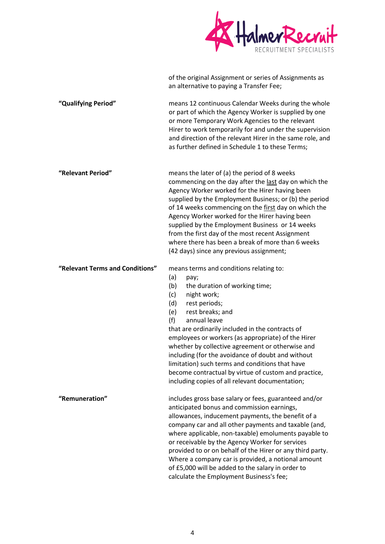

|                                 | of the original Assignment or series of Assignments as<br>an alternative to paying a Transfer Fee;                                                                                                                                                                                                                                                                                                                                                                                                                                                                              |
|---------------------------------|---------------------------------------------------------------------------------------------------------------------------------------------------------------------------------------------------------------------------------------------------------------------------------------------------------------------------------------------------------------------------------------------------------------------------------------------------------------------------------------------------------------------------------------------------------------------------------|
| "Qualifying Period"             | means 12 continuous Calendar Weeks during the whole<br>or part of which the Agency Worker is supplied by one<br>or more Temporary Work Agencies to the relevant<br>Hirer to work temporarily for and under the supervision<br>and direction of the relevant Hirer in the same role, and<br>as further defined in Schedule 1 to these Terms;                                                                                                                                                                                                                                     |
| "Relevant Period"               | means the later of (a) the period of 8 weeks<br>commencing on the day after the last day on which the<br>Agency Worker worked for the Hirer having been<br>supplied by the Employment Business; or (b) the period<br>of 14 weeks commencing on the first day on which the<br>Agency Worker worked for the Hirer having been<br>supplied by the Employment Business or 14 weeks<br>from the first day of the most recent Assignment<br>where there has been a break of more than 6 weeks<br>(42 days) since any previous assignment;                                             |
| "Relevant Terms and Conditions" | means terms and conditions relating to:<br>(a)<br>pay;<br>the duration of working time;<br>(b)<br>night work;<br>(c)<br>rest periods;<br>(d)<br>rest breaks; and<br>(e)<br>(f)<br>annual leave<br>that are ordinarily included in the contracts of<br>employees or workers (as appropriate) of the Hirer<br>whether by collective agreement or otherwise and<br>including (for the avoidance of doubt and without<br>limitation) such terms and conditions that have<br>become contractual by virtue of custom and practice,<br>including copies of all relevant documentation; |
| "Remuneration"                  | includes gross base salary or fees, guaranteed and/or<br>anticipated bonus and commission earnings,<br>allowances, inducement payments, the benefit of a<br>company car and all other payments and taxable (and,<br>where applicable, non-taxable) emoluments payable to<br>or receivable by the Agency Worker for services<br>provided to or on behalf of the Hirer or any third party.<br>Where a company car is provided, a notional amount<br>of £5,000 will be added to the salary in order to<br>calculate the Employment Business's fee;                                 |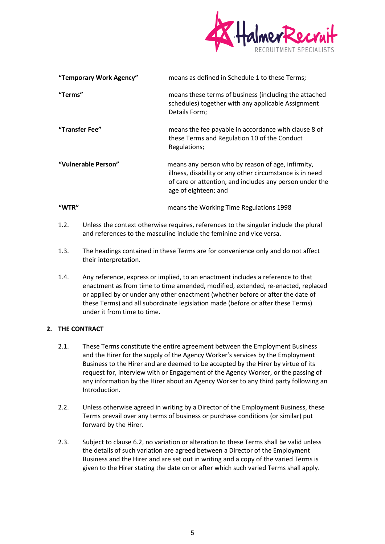

| "Temporary Work Agency" | means as defined in Schedule 1 to these Terms;                                                                                                                                                   |
|-------------------------|--------------------------------------------------------------------------------------------------------------------------------------------------------------------------------------------------|
| "Terms"                 | means these terms of business (including the attached<br>schedules) together with any applicable Assignment<br>Details Form;                                                                     |
| "Transfer Fee"          | means the fee payable in accordance with clause 8 of<br>these Terms and Regulation 10 of the Conduct<br>Regulations;                                                                             |
| "Vulnerable Person"     | means any person who by reason of age, infirmity,<br>illness, disability or any other circumstance is in need<br>of care or attention, and includes any person under the<br>age of eighteen; and |
| "WTR"                   | means the Working Time Regulations 1998                                                                                                                                                          |

- 1.2. Unless the context otherwise requires, references to the singular include the plural and references to the masculine include the feminine and vice versa.
- 1.3. The headings contained in these Terms are for convenience only and do not affect their interpretation.
- 1.4. Any reference, express or implied, to an enactment includes a reference to that enactment as from time to time amended, modified, extended, re-enacted, replaced or applied by or under any other enactment (whether before or after the date of these Terms) and all subordinate legislation made (before or after these Terms) under it from time to time.

# **2. THE CONTRACT**

- 2.1. These Terms constitute the entire agreement between the Employment Business and the Hirer for the supply of the Agency Worker's services by the Employment Business to the Hirer and are deemed to be accepted by the Hirer by virtue of its request for, interview with or Engagement of the Agency Worker, or the passing of any information by the Hirer about an Agency Worker to any third party following an Introduction.
- 2.2. Unless otherwise agreed in writing by a Director of the Employment Business, these Terms prevail over any terms of business or purchase conditions (or similar) put forward by the Hirer.
- 2.3. Subject to clause [6.2,](#page-9-1) no variation or alteration to these Terms shall be valid unless the details of such variation are agreed between a Director of the Employment Business and the Hirer and are set out in writing and a copy of the varied Terms is given to the Hirer stating the date on or after which such varied Terms shall apply.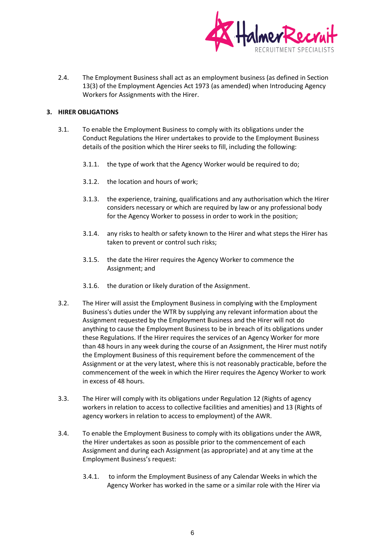

2.4. The Employment Business shall act as an employment business (as defined in Section 13(3) of the Employment Agencies Act 1973 (as amended) when Introducing Agency Workers for Assignments with the Hirer.

### **3. HIRER OBLIGATIONS**

- 3.1. To enable the Employment Business to comply with its obligations under the Conduct Regulations the Hirer undertakes to provide to the Employment Business details of the position which the Hirer seeks to fill, including the following:
	- 3.1.1. the type of work that the Agency Worker would be required to do;
	- 3.1.2. the location and hours of work;
	- 3.1.3. the experience, training, qualifications and any authorisation which the Hirer considers necessary or which are required by law or any professional body for the Agency Worker to possess in order to work in the position;
	- 3.1.4. any risks to health or safety known to the Hirer and what steps the Hirer has taken to prevent or control such risks;
	- 3.1.5. the date the Hirer requires the Agency Worker to commence the Assignment; and
	- 3.1.6. the duration or likely duration of the Assignment.
- 3.2. The Hirer will assist the Employment Business in complying with the Employment Business's duties under the WTR by supplying any relevant information about the Assignment requested by the Employment Business and the Hirer will not do anything to cause the Employment Business to be in breach of its obligations under these Regulations. If the Hirer requires the services of an Agency Worker for more than 48 hours in any week during the course of an Assignment, the Hirer must notify the Employment Business of this requirement before the commencement of the Assignment or at the very latest, where this is not reasonably practicable, before the commencement of the week in which the Hirer requires the Agency Worker to work in excess of 48 hours.
- 3.3. The Hirer will comply with its obligations under Regulation 12 (Rights of agency workers in relation to access to collective facilities and amenities) and 13 (Rights of agency workers in relation to access to employment) of the AWR.
- <span id="page-5-0"></span>3.4. To enable the Employment Business to comply with its obligations under the AWR, the Hirer undertakes as soon as possible prior to the commencement of each Assignment and during each Assignment (as appropriate) and at any time at the Employment Business's request:
	- 3.4.1. to inform the Employment Business of any Calendar Weeks in which the Agency Worker has worked in the same or a similar role with the Hirer via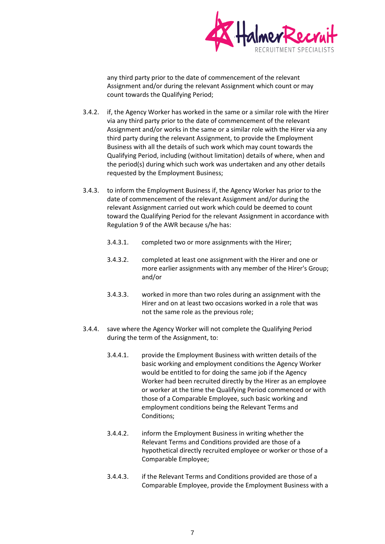

any third party prior to the date of commencement of the relevant Assignment and/or during the relevant Assignment which count or may count towards the Qualifying Period;

- 3.4.2. if, the Agency Worker has worked in the same or a similar role with the Hirer via any third party prior to the date of commencement of the relevant Assignment and/or works in the same or a similar role with the Hirer via any third party during the relevant Assignment, to provide the Employment Business with all the details of such work which may count towards the Qualifying Period, including (without limitation) details of where, when and the period(s) during which such work was undertaken and any other details requested by the Employment Business;
- 3.4.3. to inform the Employment Business if, the Agency Worker has prior to the date of commencement of the relevant Assignment and/or during the relevant Assignment carried out work which could be deemed to count toward the Qualifying Period for the relevant Assignment in accordance with Regulation 9 of the AWR because s/he has:
	- 3.4.3.1. completed two or more assignments with the Hirer;
	- 3.4.3.2. completed at least one assignment with the Hirer and one or more earlier assignments with any member of the Hirer's Group; and/or
	- 3.4.3.3. worked in more than two roles during an assignment with the Hirer and on at least two occasions worked in a role that was not the same role as the previous role;
- 3.4.4. save where the Agency Worker will not complete the Qualifying Period during the term of the Assignment, to:
	- 3.4.4.1. provide the Employment Business with written details of the basic working and employment conditions the Agency Worker would be entitled to for doing the same job if the Agency Worker had been recruited directly by the Hirer as an employee or worker at the time the Qualifying Period commenced or with those of a Comparable Employee, such basic working and employment conditions being the Relevant Terms and Conditions;
	- 3.4.4.2. inform the Employment Business in writing whether the Relevant Terms and Conditions provided are those of a hypothetical directly recruited employee or worker or those of a Comparable Employee;
	- 3.4.4.3. if the Relevant Terms and Conditions provided are those of a Comparable Employee, provide the Employment Business with a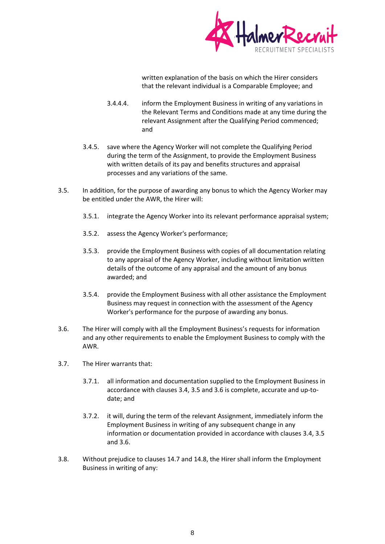

written explanation of the basis on which the Hirer considers that the relevant individual is a Comparable Employee; and

- 3.4.4.4. inform the Employment Business in writing of any variations in the Relevant Terms and Conditions made at any time during the relevant Assignment after the Qualifying Period commenced; and
- 3.4.5. save where the Agency Worker will not complete the Qualifying Period during the term of the Assignment, to provide the Employment Business with written details of its pay and benefits structures and appraisal processes and any variations of the same.
- <span id="page-7-2"></span><span id="page-7-0"></span>3.5. In addition, for the purpose of awarding any bonus to which the Agency Worker may be entitled under the AWR, the Hirer will:
	- 3.5.1. integrate the Agency Worker into its relevant performance appraisal system;
	- 3.5.2. assess the Agency Worker's performance;
	- 3.5.3. provide the Employment Business with copies of all documentation relating to any appraisal of the Agency Worker, including without limitation written details of the outcome of any appraisal and the amount of any bonus awarded; and
	- 3.5.4. provide the Employment Business with all other assistance the Employment Business may request in connection with the assessment of the Agency Worker's performance for the purpose of awarding any bonus.
- <span id="page-7-1"></span>3.6. The Hirer will comply with all the Employment Business's requests for information and any other requirements to enable the Employment Business to comply with the AWR.
- 3.7. The Hirer warrants that:
	- 3.7.1. all information and documentation supplied to the Employment Business in accordance with clauses [3.4,](#page-5-0) [3.5](#page-7-0) an[d 3.6](#page-7-1) is complete, accurate and up-todate; and
	- 3.7.2. it will, during the term of the relevant Assignment, immediately inform the Employment Business in writing of any subsequent change in any information or documentation provided in accordance with clause[s 3.4,](#page-5-0) [3.5](#page-7-0) and [3.6.](#page-7-1)
- 3.8. Without prejudice to clause[s 14.7](#page-14-0) and [14.8,](#page-14-1) the Hirer shall inform the Employment Business in writing of any: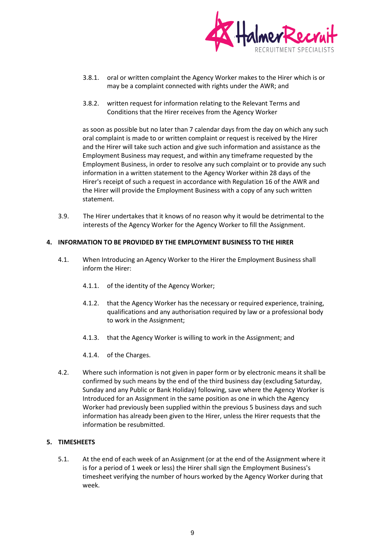

- 3.8.1. oral or written complaint the Agency Worker makes to the Hirer which is or may be a complaint connected with rights under the AWR; and
- 3.8.2. written request for information relating to the Relevant Terms and Conditions that the Hirer receives from the Agency Worker

as soon as possible but no later than 7 calendar days from the day on which any such oral complaint is made to or written complaint or request is received by the Hirer and the Hirer will take such action and give such information and assistance as the Employment Business may request, and within any timeframe requested by the Employment Business, in order to resolve any such complaint or to provide any such information in a written statement to the Agency Worker within 28 days of the Hirer's receipt of such a request in accordance with Regulation 16 of the AWR and the Hirer will provide the Employment Business with a copy of any such written statement.

3.9. The Hirer undertakes that it knows of no reason why it would be detrimental to the interests of the Agency Worker for the Agency Worker to fill the Assignment.

#### **4. INFORMATION TO BE PROVIDED BY THE EMPLOYMENT BUSINESS TO THE HIRER**

- 4.1. When Introducing an Agency Worker to the Hirer the Employment Business shall inform the Hirer:
	- 4.1.1. of the identity of the Agency Worker;
	- 4.1.2. that the Agency Worker has the necessary or required experience, training, qualifications and any authorisation required by law or a professional body to work in the Assignment;
	- 4.1.3. that the Agency Worker is willing to work in the Assignment; and
	- 4.1.4. of the Charges.
- 4.2. Where such information is not given in paper form or by electronic means it shall be confirmed by such means by the end of the third business day (excluding Saturday, Sunday and any Public or Bank Holiday) following, save where the Agency Worker is Introduced for an Assignment in the same position as one in which the Agency Worker had previously been supplied within the previous 5 business days and such information has already been given to the Hirer, unless the Hirer requests that the information be resubmitted.

### **5. TIMESHEETS**

5.1. At the end of each week of an Assignment (or at the end of the Assignment where it is for a period of 1 week or less) the Hirer shall sign the Employment Business's timesheet verifying the number of hours worked by the Agency Worker during that week.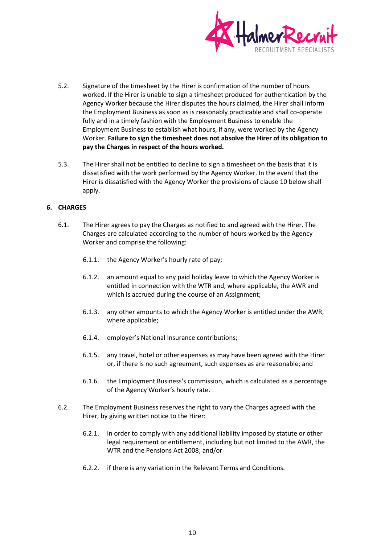

- <span id="page-9-3"></span>5.2. Signature of the timesheet by the Hirer is confirmation of the number of hours worked. If the Hirer is unable to sign a timesheet produced for authentication by the Agency Worker because the Hirer disputes the hours claimed, the Hirer shall inform the Employment Business as soon as is reasonably practicable and shall co-operate fully and in a timely fashion with the Employment Business to enable the Employment Business to establish what hours, if any, were worked by the Agency Worker. **Failure to sign the timesheet does not absolve the Hirer of its obligation to pay the Charges in respect of the hours worked.**
- 5.3. The Hirer shall not be entitled to decline to sign a timesheet on the basis that it is dissatisfied with the work performed by the Agency Worker. In the event that the Hirer is dissatisfied with the Agency Worker the provisions of clause 10 below shall apply.

#### <span id="page-9-0"></span>**6. CHARGES**

- 6.1. The Hirer agrees to pay the Charges as notified to and agreed with the Hirer. The Charges are calculated according to the number of hours worked by the Agency Worker and comprise the following:
	- 6.1.1. the Agency Worker's hourly rate of pay;
	- 6.1.2. an amount equal to any paid holiday leave to which the Agency Worker is entitled in connection with the WTR and, where applicable, the AWR and which is accrued during the course of an Assignment;
	- 6.1.3. any other amounts to which the Agency Worker is entitled under the AWR, where applicable;
	- 6.1.4. employer's National Insurance contributions;
	- 6.1.5. any travel, hotel or other expenses as may have been agreed with the Hirer or, if there is no such agreement, such expenses as are reasonable; and
	- 6.1.6. the Employment Business's commission, which is calculated as a percentage of the Agency Worker's hourly rate.
- <span id="page-9-2"></span><span id="page-9-1"></span>6.2. The Employment Business reserves the right to vary the Charges agreed with the Hirer, by giving written notice to the Hirer:
	- 6.2.1. in order to comply with any additional liability imposed by statute or other legal requirement or entitlement, including but not limited to the AWR, the WTR and the Pensions Act 2008; and/or
	- 6.2.2. if there is any variation in the Relevant Terms and Conditions.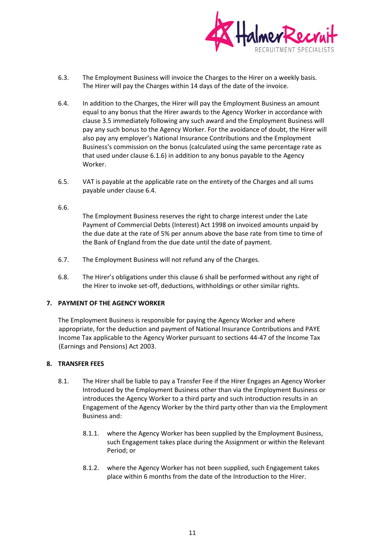

- <span id="page-10-0"></span>6.3. The Employment Business will invoice the Charges to the Hirer on a weekly basis. The Hirer will pay the Charges within 14 days of the date of the invoice.
- 6.4. In addition to the Charges, the Hirer will pay the Employment Business an amount equal to any bonus that the Hirer awards to the Agency Worker in accordance with clause [3.5](#page-7-2) immediately following any such award and the Employment Business will pay any such bonus to the Agency Worker. For the avoidance of doubt, the Hirer will also pay any employer's National Insurance Contributions and the Employment Business's commission on the bonus (calculated using the same percentage rate as that used under clause [6.1.6\)](#page-9-2) in addition to any bonus payable to the Agency Worker.
- 6.5. VAT is payable at the applicable rate on the entirety of the Charges and all sums payable under clause [6.4.](#page-9-3)

#### 6.6.

The Employment Business reserves the right to charge interest under the Late Payment of Commercial Debts (Interest) Act 1998 on invoiced amounts unpaid by the due date at the rate of 5% per annum above the base rate from time to time of the Bank of England from the due date until the date of payment.

- 6.7. The Employment Business will not refund any of the Charges.
- 6.8. The Hirer's obligations under this clause [6](#page-9-0) shall be performed without any right of the Hirer to invoke set-off, deductions, withholdings or other similar rights.

#### <span id="page-10-1"></span>**7. PAYMENT OF THE AGENCY WORKER**

The Employment Business is responsible for paying the Agency Worker and where appropriate, for the deduction and payment of National Insurance Contributions and PAYE Income Tax applicable to the Agency Worker pursuant to sections 44-47 of the Income Tax (Earnings and Pensions) Act 2003.

#### <span id="page-10-2"></span>**8. TRANSFER FEES**

- 8.1. The Hirer shall be liable to pay a Transfer Fee if the Hirer Engages an Agency Worker Introduced by the Employment Business other than via the Employment Business or introduces the Agency Worker to a third party and such introduction results in an Engagement of the Agency Worker by the third party other than via the Employment Business and:
	- 8.1.1. where the Agency Worker has been supplied by the Employment Business, such Engagement takes place during the Assignment or within the Relevant Period; or
	- 8.1.2. where the Agency Worker has not been supplied, such Engagement takes place within 6 months from the date of the Introduction to the Hirer.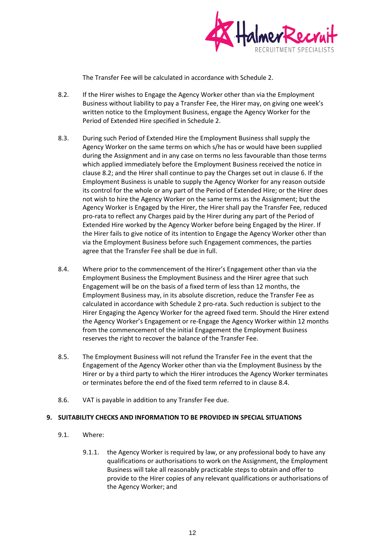

The Transfer Fee will be calculated in accordance with Schedule 2.

- 8.2. If the Hirer wishes to Engage the Agency Worker other than via the Employment Business without liability to pay a Transfer Fee, the Hirer may, on giving one week's written notice to the Employment Business, engage the Agency Worker for the Period of Extended Hire specified in Schedule 2.
- 8.3. During such Period of Extended Hire the Employment Business shall supply the Agency Worker on the same terms on which s/he has or would have been supplied during the Assignment and in any case on terms no less favourable than those terms which applied immediately before the Employment Business received the notice in clause [8.2;](#page-10-0) and the Hirer shall continue to pay the Charges set out in clause [6.](#page-9-0) If the Employment Business is unable to supply the Agency Worker for any reason outside its control for the whole or any part of the Period of Extended Hire; or the Hirer does not wish to hire the Agency Worker on the same terms as the Assignment; but the Agency Worker is Engaged by the Hirer, the Hirer shall pay the Transfer Fee, reduced pro-rata to reflect any Charges paid by the Hirer during any part of the Period of Extended Hire worked by the Agency Worker before being Engaged by the Hirer. If the Hirer fails to give notice of its intention to Engage the Agency Worker other than via the Employment Business before such Engagement commences, the parties agree that the Transfer Fee shall be due in full.
- <span id="page-11-0"></span>8.4. Where prior to the commencement of the Hirer's Engagement other than via the Employment Business the Employment Business and the Hirer agree that such Engagement will be on the basis of a fixed term of less than 12 months, the Employment Business may, in its absolute discretion, reduce the Transfer Fee as calculated in accordance with Schedule 2 pro-rata. Such reduction is subject to the Hirer Engaging the Agency Worker for the agreed fixed term. Should the Hirer extend the Agency Worker's Engagement or re-Engage the Agency Worker within 12 months from the commencement of the initial Engagement the Employment Business reserves the right to recover the balance of the Transfer Fee.
- 8.5. The Employment Business will not refund the Transfer Fee in the event that the Engagement of the Agency Worker other than via the Employment Business by the Hirer or by a third party to which the Hirer introduces the Agency Worker terminates or terminates before the end of the fixed term referred to in clause [8.4.](#page-11-0)
- 8.6. VAT is payable in addition to any Transfer Fee due.

#### **9. SUITABILITY CHECKS AND INFORMATION TO BE PROVIDED IN SPECIAL SITUATIONS**

- 9.1. Where:
	- 9.1.1. the Agency Worker is required by law, or any professional body to have any qualifications or authorisations to work on the Assignment, the Employment Business will take all reasonably practicable steps to obtain and offer to provide to the Hirer copies of any relevant qualifications or authorisations of the Agency Worker; and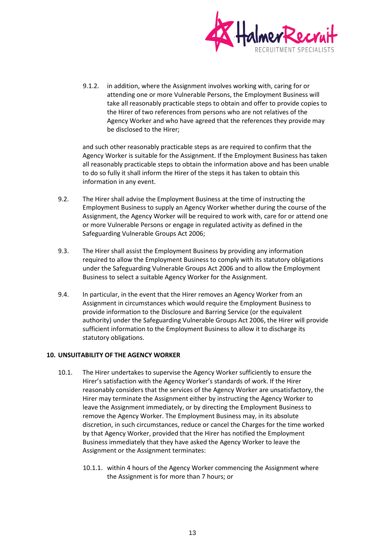

9.1.2. in addition, where the Assignment involves working with, caring for or attending one or more Vulnerable Persons, the Employment Business will take all reasonably practicable steps to obtain and offer to provide copies to the Hirer of two references from persons who are not relatives of the Agency Worker and who have agreed that the references they provide may be disclosed to the Hirer;

and such other reasonably practicable steps as are required to confirm that the Agency Worker is suitable for the Assignment. If the Employment Business has taken all reasonably practicable steps to obtain the information above and has been unable to do so fully it shall inform the Hirer of the steps it has taken to obtain this information in any event.

- 9.2. The Hirer shall advise the Employment Business at the time of instructing the Employment Business to supply an Agency Worker whether during the course of the Assignment, the Agency Worker will be required to work with, care for or attend one or more Vulnerable Persons or engage in regulated activity as defined in the Safeguarding Vulnerable Groups Act 2006;
- 9.3. The Hirer shall assist the Employment Business by providing any information required to allow the Employment Business to comply with its statutory obligations under the Safeguarding Vulnerable Groups Act 2006 and to allow the Employment Business to select a suitable Agency Worker for the Assignment.
- 9.4. In particular, in the event that the Hirer removes an Agency Worker from an Assignment in circumstances which would require the Employment Business to provide information to the Disclosure and Barring Service (or the equivalent authority) under the Safeguarding Vulnerable Groups Act 2006, the Hirer will provide sufficient information to the Employment Business to allow it to discharge its statutory obligations.

#### **10. UNSUITABILITY OF THE AGENCY WORKER**

- 10.1. The Hirer undertakes to supervise the Agency Worker sufficiently to ensure the Hirer's satisfaction with the Agency Worker's standards of work. If the Hirer reasonably considers that the services of the Agency Worker are unsatisfactory, the Hirer may terminate the Assignment either by instructing the Agency Worker to leave the Assignment immediately, or by directing the Employment Business to remove the Agency Worker. The Employment Business may, in its absolute discretion, in such circumstances, reduce or cancel the Charges for the time worked by that Agency Worker, provided that the Hirer has notified the Employment Business immediately that they have asked the Agency Worker to leave the Assignment or the Assignment terminates:
	- 10.1.1. within 4 hours of the Agency Worker commencing the Assignment where the Assignment is for more than 7 hours; or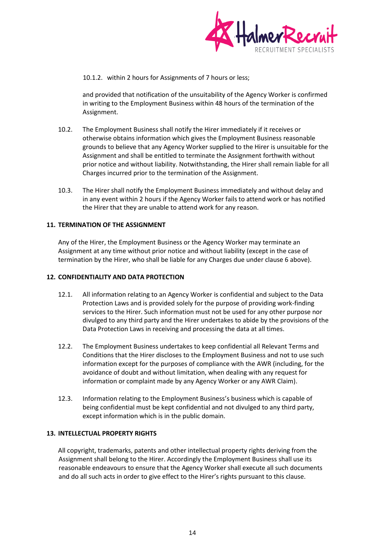

10.1.2. within 2 hours for Assignments of 7 hours or less;

and provided that notification of the unsuitability of the Agency Worker is confirmed in writing to the Employment Business within 48 hours of the termination of the Assignment.

- 10.2. The Employment Business shall notify the Hirer immediately if it receives or otherwise obtains information which gives the Employment Business reasonable grounds to believe that any Agency Worker supplied to the Hirer is unsuitable for the Assignment and shall be entitled to terminate the Assignment forthwith without prior notice and without liability. Notwithstanding, the Hirer shall remain liable for all Charges incurred prior to the termination of the Assignment.
- 10.3. The Hirer shall notify the Employment Business immediately and without delay and in any event within 2 hours if the Agency Worker fails to attend work or has notified the Hirer that they are unable to attend work for any reason.

#### **11. TERMINATION OF THE ASSIGNMENT**

Any of the Hirer, the Employment Business or the Agency Worker may terminate an Assignment at any time without prior notice and without liability (except in the case of termination by the Hirer, who shall be liable for any Charges due under claus[e 6](#page-9-0) above).

#### **12. CONFIDENTIALITY AND DATA PROTECTION**

- 12.1. All information relating to an Agency Worker is confidential and subject to the Data Protection Laws and is provided solely for the purpose of providing work-finding services to the Hirer. Such information must not be used for any other purpose nor divulged to any third party and the Hirer undertakes to abide by the provisions of the Data Protection Laws in receiving and processing the data at all times.
- 12.2. The Employment Business undertakes to keep confidential all Relevant Terms and Conditions that the Hirer discloses to the Employment Business and not to use such information except for the purposes of compliance with the AWR (including, for the avoidance of doubt and without limitation, when dealing with any request for information or complaint made by any Agency Worker or any AWR Claim).
- 12.3. Information relating to the Employment Business's business which is capable of being confidential must be kept confidential and not divulged to any third party, except information which is in the public domain.

#### **13. INTELLECTUAL PROPERTY RIGHTS**

All copyright, trademarks, patents and other intellectual property rights deriving from the Assignment shall belong to the Hirer. Accordingly the Employment Business shall use its reasonable endeavours to ensure that the Agency Worker shall execute all such documents and do all such acts in order to give effect to the Hirer's rights pursuant to this clause.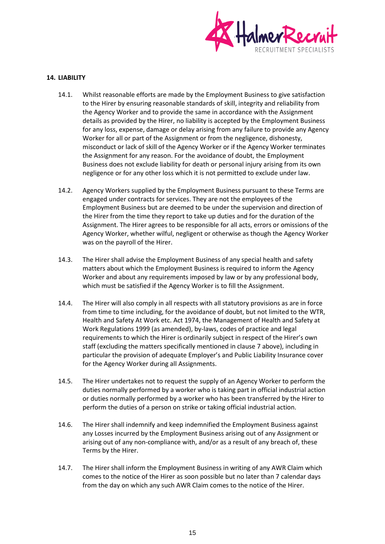

#### <span id="page-14-1"></span>**14. LIABILITY**

- 14.1. Whilst reasonable efforts are made by the Employment Business to give satisfaction to the Hirer by ensuring reasonable standards of skill, integrity and reliability from the Agency Worker and to provide the same in accordance with the Assignment details as provided by the Hirer, no liability is accepted by the Employment Business for any loss, expense, damage or delay arising from any failure to provide any Agency Worker for all or part of the Assignment or from the negligence, dishonesty, misconduct or lack of skill of the Agency Worker or if the Agency Worker terminates the Assignment for any reason. For the avoidance of doubt, the Employment Business does not exclude liability for death or personal injury arising from its own negligence or for any other loss which it is not permitted to exclude under law.
- 14.2. Agency Workers supplied by the Employment Business pursuant to these Terms are engaged under contracts for services. They are not the employees of the Employment Business but are deemed to be under the supervision and direction of the Hirer from the time they report to take up duties and for the duration of the Assignment. The Hirer agrees to be responsible for all acts, errors or omissions of the Agency Worker, whether wilful, negligent or otherwise as though the Agency Worker was on the payroll of the Hirer.
- 14.3. The Hirer shall advise the Employment Business of any special health and safety matters about which the Employment Business is required to inform the Agency Worker and about any requirements imposed by law or by any professional body, which must be satisfied if the Agency Worker is to fill the Assignment.
- 14.4. The Hirer will also comply in all respects with all statutory provisions as are in force from time to time including, for the avoidance of doubt, but not limited to the WTR, Health and Safety At Work etc. Act 1974, the Management of Health and Safety at Work Regulations 1999 (as amended), by-laws, codes of practice and legal requirements to which the Hirer is ordinarily subject in respect of the Hirer's own staff (excluding the matters specifically mentioned in clause [7](#page-10-1) above), including in particular the provision of adequate Employer's and Public Liability Insurance cover for the Agency Worker during all Assignments.
- 14.5. The Hirer undertakes not to request the supply of an Agency Worker to perform the duties normally performed by a worker who is taking part in official industrial action or duties normally performed by a worker who has been transferred by the Hirer to perform the duties of a person on strike or taking official industrial action.
- 14.6. The Hirer shall indemnify and keep indemnified the Employment Business against any Losses incurred by the Employment Business arising out of any Assignment or arising out of any non-compliance with, and/or as a result of any breach of, these Terms by the Hirer.
- <span id="page-14-0"></span>14.7. The Hirer shall inform the Employment Business in writing of any AWR Claim which comes to the notice of the Hirer as soon possible but no later than 7 calendar days from the day on which any such AWR Claim comes to the notice of the Hirer.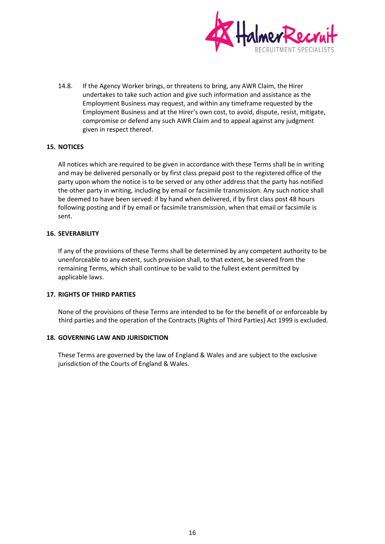

14.8. If the Agency Worker brings, or threatens to bring, any AWR Claim, the Hirer undertakes to take such action and give such information and assistance as the Employment Business may request, and within any timeframe requested by the Employment Business and at the Hirer's own cost, to avoid, dispute, resist, mitigate, compromise or defend any such AWR Claim and to appeal against any judgment given in respect thereof.

#### **15. NOTICES**

All notices which are required to be given in accordance with these Terms shall be in writing and may be delivered personally or by first class prepaid post to the registered office of the party upon whom the notice is to be served or any other address that the party has notified the other party in writing, including by email or facsimile transmission. Any such notice shall be deemed to have been served: if by hand when delivered, if by first class post 48 hours following posting and if by email or facsimile transmission, when that email or facsimile is sent.

#### **16. SEVERABILITY**

If any of the provisions of these Terms shall be determined by any competent authority to be unenforceable to any extent, such provision shall, to that extent, be severed from the remaining Terms, which shall continue to be valid to the fullest extent permitted by applicable laws.

#### **17. RIGHTS OF THIRD PARTIES**

None of the provisions of these Terms are intended to be for the benefit of or enforceable by third parties and the operation of the Contracts (Rights of Third Parties) Act 1999 is excluded.

#### **18. GOVERNING LAW AND JURISDICTION**

These Terms are governed by the law of England & Wales and are subject to the exclusive jurisdiction of the Courts of England & Wales.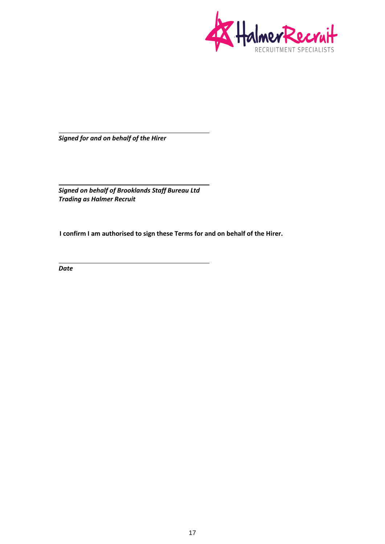

*Signed for and on behalf of the Hirer*

*Signed on behalf of Brooklands Staff Bureau Ltd Trading as Halmer Recruit* 

**I confirm I am authorised to sign these Terms for and on behalf of the Hirer.** 

*Date*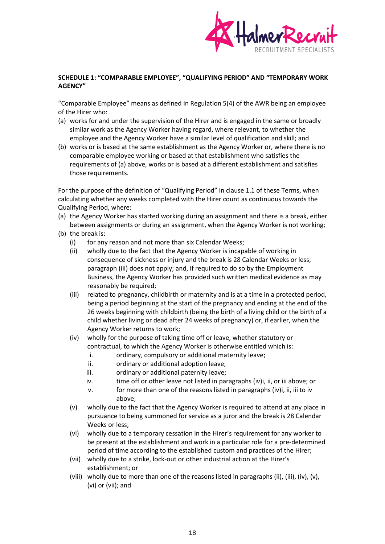

# **SCHEDULE 1: "COMPARABLE EMPLOYEE", "QUALIFYING PERIOD" AND "TEMPORARY WORK AGENCY"**

"Comparable Employee" means as defined in Regulation 5(4) of the AWR being an employee of the Hirer who:

- (a) works for and under the supervision of the Hirer and is engaged in the same or broadly similar work as the Agency Worker having regard, where relevant, to whether the employee and the Agency Worker have a similar level of qualification and skill; and
- (b) works or is based at the same establishment as the Agency Worker or, where there is no comparable employee working or based at that establishment who satisfies the requirements of (a) above, works or is based at a different establishment and satisfies those requirements.

For the purpose of the definition of "Qualifying Period" in clause [1.1](#page-0-0) of these Terms, when calculating whether any weeks completed with the Hirer count as continuous towards the Qualifying Period, where:

- (a) the Agency Worker has started working during an assignment and there is a break, either between assignments or during an assignment, when the Agency Worker is not working;
- (b) the break is:
	- (i) for any reason and not more than six Calendar Weeks;
	- (ii) wholly due to the fact that the Agency Worker is incapable of working in consequence of sickness or injury and the break is 28 Calendar Weeks or less; paragraph (iii) does not apply; and, if required to do so by the Employment Business, the Agency Worker has provided such written medical evidence as may reasonably be required;
	- (iii) related to pregnancy, childbirth or maternity and is at a time in a protected period, being a period beginning at the start of the pregnancy and ending at the end of the 26 weeks beginning with childbirth (being the birth of a living child or the birth of a child whether living or dead after 24 weeks of pregnancy) or, if earlier, when the Agency Worker returns to work;
	- (iv) wholly for the purpose of taking time off or leave, whether statutory or contractual, to which the Agency Worker is otherwise entitled which is:
		- i. ordinary, compulsory or additional maternity leave;
		- ii. ordinary or additional adoption leave;
		- iii. ordinary or additional paternity leave;
		- iv. time off or other leave not listed in paragraphs (iv)i, ii, or iii above; or
		- v. for more than one of the reasons listed in paragraphs (iv)i, ii, iii to iv above;
	- (v) wholly due to the fact that the Agency Worker is required to attend at any place in pursuance to being summoned for service as a juror and the break is 28 Calendar Weeks or less;
	- (vi) wholly due to a temporary cessation in the Hirer's requirement for any worker to be present at the establishment and work in a particular role for a pre-determined period of time according to the established custom and practices of the Hirer;
	- (vii) wholly due to a strike, lock-out or other industrial action at the Hirer's establishment; or
	- (viii) wholly due to more than one of the reasons listed in paragraphs (ii), (iii), (iv), (v), (vi) or (vii); and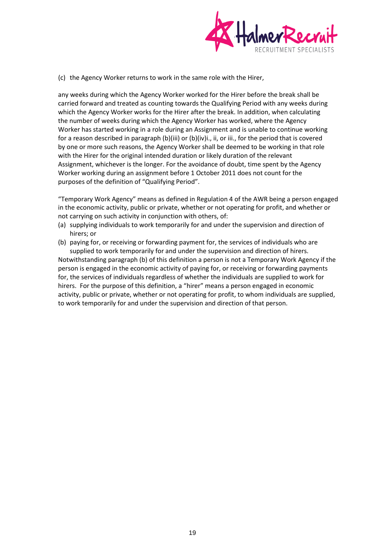

(c) the Agency Worker returns to work in the same role with the Hirer,

any weeks during which the Agency Worker worked for the Hirer before the break shall be carried forward and treated as counting towards the Qualifying Period with any weeks during which the Agency Worker works for the Hirer after the break. In addition, when calculating the number of weeks during which the Agency Worker has worked, where the Agency Worker has started working in a role during an Assignment and is unable to continue working for a reason described in paragraph (b)(iii) or (b)(iv)i., ii, or iii., for the period that is covered by one or more such reasons, the Agency Worker shall be deemed to be working in that role with the Hirer for the original intended duration or likely duration of the relevant Assignment, whichever is the longer. For the avoidance of doubt, time spent by the Agency Worker working during an assignment before 1 October 2011 does not count for the purposes of the definition of "Qualifying Period".

"Temporary Work Agency" means as defined in Regulation 4 of the AWR being a person engaged in the economic activity, public or private, whether or not operating for profit, and whether or not carrying on such activity in conjunction with others, of:

- (a) supplying individuals to work temporarily for and under the supervision and direction of hirers; or
- (b) paying for, or receiving or forwarding payment for, the services of individuals who are supplied to work temporarily for and under the supervision and direction of hirers.

Notwithstanding paragraph (b) of this definition a person is not a Temporary Work Agency if the person is engaged in the economic activity of paying for, or receiving or forwarding payments for, the services of individuals regardless of whether the individuals are supplied to work for hirers. For the purpose of this definition, a "hirer" means a person engaged in economic activity, public or private, whether or not operating for profit, to whom individuals are supplied, to work temporarily for and under the supervision and direction of that person.